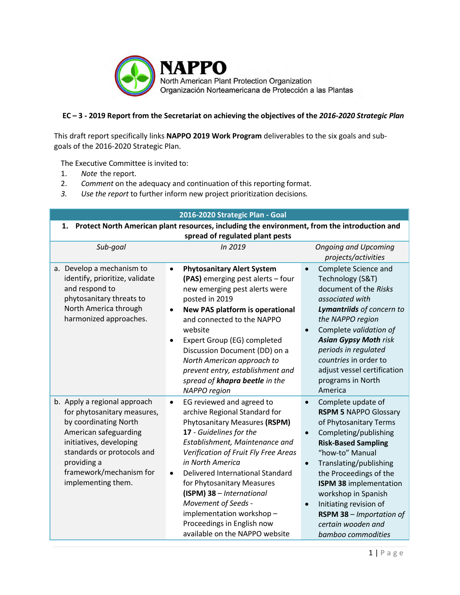

## **EC – 3 - 2019 Report from the Secretariat on achieving the objectives of the** *2016-2020 Strategic Plan*

This draft report specifically links **NAPPO 2019 Work Program** deliverables to the six goals and subgoals of the 2016-2020 Strategic Plan.

The Executive Committee is invited to:

- 1. *Note* the report.
- 2. *Comment* on the adequacy and continuation of this reporting format.
- *3. Use the report* to further inform new project prioritization decisions*.*

| 2016-2020 Strategic Plan - Goal                                                                                                                                                                                                        |                                                                                                                                                                                                                                                                                                                                                                                                                                                                  |                                                                                                                                                                                                                                                                                                                                                                                                                   |
|----------------------------------------------------------------------------------------------------------------------------------------------------------------------------------------------------------------------------------------|------------------------------------------------------------------------------------------------------------------------------------------------------------------------------------------------------------------------------------------------------------------------------------------------------------------------------------------------------------------------------------------------------------------------------------------------------------------|-------------------------------------------------------------------------------------------------------------------------------------------------------------------------------------------------------------------------------------------------------------------------------------------------------------------------------------------------------------------------------------------------------------------|
| Protect North American plant resources, including the environment, from the introduction and<br>1.<br>spread of regulated plant pests                                                                                                  |                                                                                                                                                                                                                                                                                                                                                                                                                                                                  |                                                                                                                                                                                                                                                                                                                                                                                                                   |
| Sub-goal                                                                                                                                                                                                                               | In 2019                                                                                                                                                                                                                                                                                                                                                                                                                                                          | <b>Ongoing and Upcoming</b><br>projects/activities                                                                                                                                                                                                                                                                                                                                                                |
| a. Develop a mechanism to<br>identify, prioritize, validate<br>and respond to<br>phytosanitary threats to<br>North America through<br>harmonized approaches.                                                                           | <b>Phytosanitary Alert System</b><br>$\bullet$<br>(PAS) emerging pest alerts - four<br>new emerging pest alerts were<br>posted in 2019<br>New PAS platform is operational<br>and connected to the NAPPO<br>website<br>Expert Group (EG) completed<br>$\bullet$<br>Discussion Document (DD) on a<br>North American approach to<br>prevent entry, establishment and<br>spread of khapra beetle in the<br>NAPPO region                                              | Complete Science and<br>$\bullet$<br>Technology (S&T)<br>document of the Risks<br>associated with<br>Lymantriids of concern to<br>the NAPPO region<br>Complete validation of<br><b>Asian Gypsy Moth risk</b><br>periods in regulated<br>countries in order to<br>adjust vessel certification<br>programs in North<br>America                                                                                      |
| b. Apply a regional approach<br>for phytosanitary measures,<br>by coordinating North<br>American safeguarding<br>initiatives, developing<br>standards or protocols and<br>providing a<br>framework/mechanism for<br>implementing them. | EG reviewed and agreed to<br>$\bullet$<br>archive Regional Standard for<br>Phytosanitary Measures (RSPM)<br>17 - Guidelines for the<br>Establishment, Maintenance and<br>Verification of Fruit Fly Free Areas<br>in North America<br>Delivered International Standard<br>$\bullet$<br>for Phytosanitary Measures<br>(ISPM) 38 - International<br>Movement of Seeds -<br>implementation workshop-<br>Proceedings in English now<br>available on the NAPPO website | Complete update of<br>$\bullet$<br><b>RSPM 5 NAPPO Glossary</b><br>of Phytosanitary Terms<br>Completing/publishing<br>$\bullet$<br><b>Risk-Based Sampling</b><br>"how-to" Manual<br>Translating/publishing<br>$\bullet$<br>the Proceedings of the<br>ISPM 38 implementation<br>workshop in Spanish<br>Initiating revision of<br>$\bullet$<br>RSPM 38 - Importation of<br>certain wooden and<br>bamboo commodities |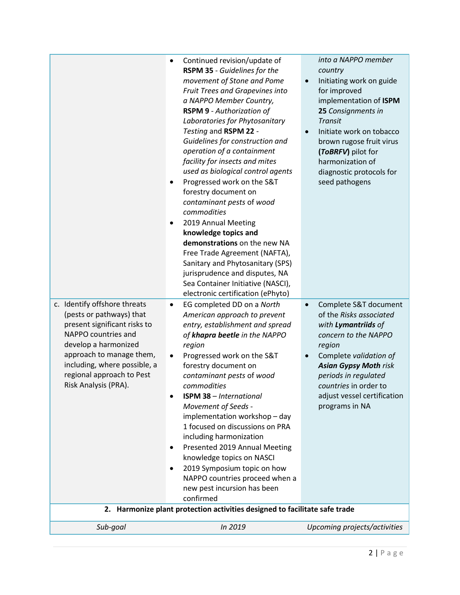| c. Identify offshore threats<br>(pests or pathways) that<br>present significant risks to<br>NAPPO countries and<br>develop a harmonized<br>approach to manage them,<br>including, where possible, a<br>regional approach to Pest<br>Risk Analysis (PRA). | forestry document on<br>contaminant pests of wood<br>commodities<br>2019 Annual Meeting<br>٠<br>knowledge topics and<br>demonstrations on the new NA<br>Free Trade Agreement (NAFTA),<br>Sanitary and Phytosanitary (SPS)<br>jurisprudence and disputes, NA<br>Sea Container Initiative (NASCI),<br>electronic certification (ePhyto)<br>EG completed DD on a North<br>$\bullet$<br>American approach to prevent<br>entry, establishment and spread<br>of khapra beetle in the NAPPO<br>region<br>Progressed work on the S&T<br>٠<br>forestry document on<br>contaminant pests of wood<br>commodities<br><b>ISPM 38 - International</b><br>$\bullet$<br>Movement of Seeds -<br>implementation workshop - day<br>1 focused on discussions on PRA<br>including harmonization<br>Presented 2019 Annual Meeting<br>٠<br>knowledge topics on NASCI<br>2019 Symposium topic on how<br>NAPPO countries proceed when a<br>new pest incursion has been<br>confirmed<br>2. Harmonize plant protection activities designed to facilitate safe trade | Complete S&T document<br>$\bullet$<br>of the Risks associated<br>with Lymantriids of<br>concern to the NAPPO<br>region<br>Complete validation of<br>$\bullet$<br><b>Asian Gypsy Moth risk</b><br>periods in regulated<br>countries in order to<br>adjust vessel certification<br>programs in NA |
|----------------------------------------------------------------------------------------------------------------------------------------------------------------------------------------------------------------------------------------------------------|------------------------------------------------------------------------------------------------------------------------------------------------------------------------------------------------------------------------------------------------------------------------------------------------------------------------------------------------------------------------------------------------------------------------------------------------------------------------------------------------------------------------------------------------------------------------------------------------------------------------------------------------------------------------------------------------------------------------------------------------------------------------------------------------------------------------------------------------------------------------------------------------------------------------------------------------------------------------------------------------------------------------------------------|-------------------------------------------------------------------------------------------------------------------------------------------------------------------------------------------------------------------------------------------------------------------------------------------------|
| Sub-goal                                                                                                                                                                                                                                                 | In 2019                                                                                                                                                                                                                                                                                                                                                                                                                                                                                                                                                                                                                                                                                                                                                                                                                                                                                                                                                                                                                                  | Upcoming projects/activities                                                                                                                                                                                                                                                                    |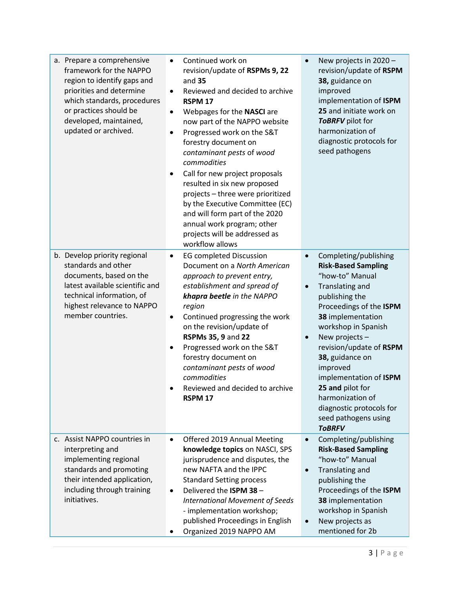| a. Prepare a comprehensive<br>framework for the NAPPO<br>region to identify gaps and<br>priorities and determine<br>which standards, procedures<br>or practices should be<br>developed, maintained,<br>updated or archived. | Continued work on<br>$\bullet$<br>revision/update of RSPMs 9, 22<br>and 35<br>Reviewed and decided to archive<br>$\bullet$<br>RSPM <sub>17</sub><br>Webpages for the NASCI are<br>$\bullet$<br>now part of the NAPPO website<br>Progressed work on the S&T<br>$\bullet$<br>forestry document on<br>contaminant pests of wood<br>commodities<br>Call for new project proposals<br>$\bullet$<br>resulted in six new proposed<br>projects - three were prioritized<br>by the Executive Committee (EC)<br>and will form part of the 2020<br>annual work program; other<br>projects will be addressed as<br>workflow allows | New projects in 2020 -<br>$\bullet$<br>revision/update of RSPM<br>38, guidance on<br>improved<br>implementation of ISPM<br>25 and initiate work on<br>ToBRFV pilot for<br>harmonization of<br>diagnostic protocols for<br>seed pathogens                                                                                                                                                                                        |
|-----------------------------------------------------------------------------------------------------------------------------------------------------------------------------------------------------------------------------|------------------------------------------------------------------------------------------------------------------------------------------------------------------------------------------------------------------------------------------------------------------------------------------------------------------------------------------------------------------------------------------------------------------------------------------------------------------------------------------------------------------------------------------------------------------------------------------------------------------------|---------------------------------------------------------------------------------------------------------------------------------------------------------------------------------------------------------------------------------------------------------------------------------------------------------------------------------------------------------------------------------------------------------------------------------|
| b. Develop priority regional<br>standards and other<br>documents, based on the<br>latest available scientific and<br>technical information, of<br>highest relevance to NAPPO<br>member countries.                           | <b>EG completed Discussion</b><br>$\bullet$<br>Document on a North American<br>approach to prevent entry,<br>establishment and spread of<br>khapra beetle in the NAPPO<br>region<br>Continued progressing the work<br>$\bullet$<br>on the revision/update of<br>RSPMs 35, 9 and 22<br>Progressed work on the S&T<br>$\bullet$<br>forestry document on<br>contaminant pests of wood<br>commodities<br>Reviewed and decided to archive<br><b>RSPM 17</b>                                                                                                                                                                 | Completing/publishing<br>$\bullet$<br><b>Risk-Based Sampling</b><br>"how-to" Manual<br>Translating and<br>$\bullet$<br>publishing the<br>Proceedings of the ISPM<br>38 implementation<br>workshop in Spanish<br>New projects -<br>revision/update of RSPM<br>38, guidance on<br>improved<br>implementation of ISPM<br>25 and pilot for<br>harmonization of<br>diagnostic protocols for<br>seed pathogens using<br><b>TOBRFV</b> |
| c. Assist NAPPO countries in<br>interpreting and<br>implementing regional<br>standards and promoting<br>their intended application,<br>including through training<br>initiatives.                                           | Offered 2019 Annual Meeting<br>$\bullet$<br>knowledge topics on NASCI, SPS<br>jurisprudence and disputes, the<br>new NAFTA and the IPPC<br><b>Standard Setting process</b><br>Delivered the ISPM 38 -<br>$\bullet$<br><b>International Movement of Seeds</b><br>- implementation workshop;<br>published Proceedings in English<br>Organized 2019 NAPPO AM                                                                                                                                                                                                                                                              | Completing/publishing<br>$\bullet$<br><b>Risk-Based Sampling</b><br>"how-to" Manual<br>Translating and<br>$\bullet$<br>publishing the<br>Proceedings of the ISPM<br>38 implementation<br>workshop in Spanish<br>New projects as<br>mentioned for 2b                                                                                                                                                                             |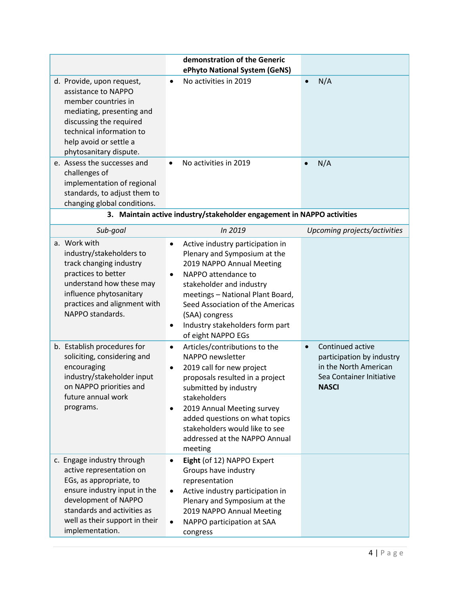|                                                                                                                                                                                                                                                                 | demonstration of the Generic                                                                                                                                                                                                                                                                                                                    |                                                                                                                                 |
|-----------------------------------------------------------------------------------------------------------------------------------------------------------------------------------------------------------------------------------------------------------------|-------------------------------------------------------------------------------------------------------------------------------------------------------------------------------------------------------------------------------------------------------------------------------------------------------------------------------------------------|---------------------------------------------------------------------------------------------------------------------------------|
| d. Provide, upon request,<br>assistance to NAPPO<br>member countries in<br>mediating, presenting and<br>discussing the required<br>technical information to<br>help avoid or settle a<br>phytosanitary dispute.<br>e. Assess the successes and<br>challenges of | ePhyto National System (GeNS)<br>No activities in 2019<br>$\bullet$<br>No activities in 2019<br>$\bullet$                                                                                                                                                                                                                                       | N/A<br>$\bullet$<br>N/A                                                                                                         |
| implementation of regional<br>standards, to adjust them to<br>changing global conditions.                                                                                                                                                                       |                                                                                                                                                                                                                                                                                                                                                 |                                                                                                                                 |
|                                                                                                                                                                                                                                                                 | 3. Maintain active industry/stakeholder engagement in NAPPO activities                                                                                                                                                                                                                                                                          |                                                                                                                                 |
| Sub-goal                                                                                                                                                                                                                                                        | In 2019                                                                                                                                                                                                                                                                                                                                         | Upcoming projects/activities                                                                                                    |
| a. Work with<br>industry/stakeholders to<br>track changing industry<br>practices to better<br>understand how these may<br>influence phytosanitary<br>practices and alignment with<br>NAPPO standards.                                                           | Active industry participation in<br>$\bullet$<br>Plenary and Symposium at the<br>2019 NAPPO Annual Meeting<br>NAPPO attendance to<br>$\bullet$<br>stakeholder and industry<br>meetings - National Plant Board,<br>Seed Association of the Americas<br>(SAA) congress<br>Industry stakeholders form part<br>of eight NAPPO EGs                   |                                                                                                                                 |
| b. Establish procedures for<br>soliciting, considering and<br>encouraging<br>industry/stakeholder input<br>on NAPPO priorities and<br>future annual work<br>programs.                                                                                           | Articles/contributions to the<br>$\bullet$<br>NAPPO newsletter<br>2019 call for new project<br>$\bullet$<br>proposals resulted in a project<br>submitted by industry<br>stakeholders<br>2019 Annual Meeting survey<br>$\bullet$<br>added questions on what topics<br>stakeholders would like to see<br>addressed at the NAPPO Annual<br>meeting | Continued active<br>$\bullet$<br>participation by industry<br>in the North American<br>Sea Container Initiative<br><b>NASCI</b> |
| c. Engage industry through<br>active representation on<br>EGs, as appropriate, to<br>ensure industry input in the<br>development of NAPPO<br>standards and activities as<br>well as their support in their<br>implementation.                                   | Eight (of 12) NAPPO Expert<br>$\bullet$<br>Groups have industry<br>representation<br>Active industry participation in<br>Plenary and Symposium at the<br>2019 NAPPO Annual Meeting<br>NAPPO participation at SAA<br>congress                                                                                                                    |                                                                                                                                 |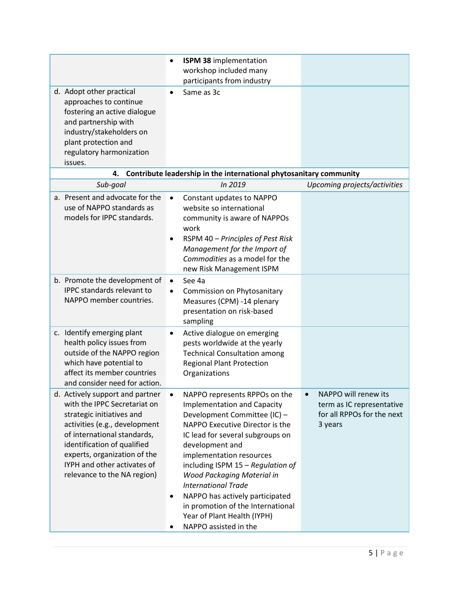|                                                                                                                                                                                                                                                                                           | <b>ISPM 38 implementation</b><br>$\bullet$                                                                                                                                                                                                                                                                                                                                                                                                                                   |                                                                                            |
|-------------------------------------------------------------------------------------------------------------------------------------------------------------------------------------------------------------------------------------------------------------------------------------------|------------------------------------------------------------------------------------------------------------------------------------------------------------------------------------------------------------------------------------------------------------------------------------------------------------------------------------------------------------------------------------------------------------------------------------------------------------------------------|--------------------------------------------------------------------------------------------|
|                                                                                                                                                                                                                                                                                           | workshop included many                                                                                                                                                                                                                                                                                                                                                                                                                                                       |                                                                                            |
|                                                                                                                                                                                                                                                                                           | participants from industry                                                                                                                                                                                                                                                                                                                                                                                                                                                   |                                                                                            |
| d. Adopt other practical<br>approaches to continue<br>fostering an active dialogue<br>and partnership with<br>industry/stakeholders on<br>plant protection and                                                                                                                            | Same as 3c<br>$\bullet$                                                                                                                                                                                                                                                                                                                                                                                                                                                      |                                                                                            |
| regulatory harmonization                                                                                                                                                                                                                                                                  |                                                                                                                                                                                                                                                                                                                                                                                                                                                                              |                                                                                            |
| issues.                                                                                                                                                                                                                                                                                   |                                                                                                                                                                                                                                                                                                                                                                                                                                                                              |                                                                                            |
| 4.                                                                                                                                                                                                                                                                                        | Contribute leadership in the international phytosanitary community                                                                                                                                                                                                                                                                                                                                                                                                           |                                                                                            |
| Sub-goal                                                                                                                                                                                                                                                                                  | In 2019                                                                                                                                                                                                                                                                                                                                                                                                                                                                      | Upcoming projects/activities                                                               |
| a. Present and advocate for the<br>use of NAPPO standards as<br>models for IPPC standards.                                                                                                                                                                                                | Constant updates to NAPPO<br>$\bullet$<br>website so international<br>community is aware of NAPPOs<br>work<br>RSPM 40 - Principles of Pest Risk<br>$\bullet$<br>Management for the Import of<br>Commodities as a model for the<br>new Risk Management ISPM                                                                                                                                                                                                                   |                                                                                            |
| b. Promote the development of<br><b>IPPC</b> standards relevant to<br>NAPPO member countries.                                                                                                                                                                                             | See 4a<br>$\bullet$<br>Commission on Phytosanitary<br>Measures (CPM) -14 plenary<br>presentation on risk-based<br>sampling                                                                                                                                                                                                                                                                                                                                                   |                                                                                            |
| c. Identify emerging plant<br>health policy issues from<br>outside of the NAPPO region<br>which have potential to<br>affect its member countries<br>and consider need for action.                                                                                                         | Active dialogue on emerging<br>$\bullet$<br>pests worldwide at the yearly<br><b>Technical Consultation among</b><br><b>Regional Plant Protection</b><br>Organizations                                                                                                                                                                                                                                                                                                        |                                                                                            |
| d. Actively support and partner<br>with the IPPC Secretariat on<br>strategic initiatives and<br>activities (e.g., development<br>of international standards,<br>identification of qualified<br>experts, organization of the<br>IYPH and other activates of<br>relevance to the NA region) | NAPPO represents RPPOs on the<br>٠<br><b>Implementation and Capacity</b><br>Development Committee (IC) -<br>NAPPO Executive Director is the<br>IC lead for several subgroups on<br>development and<br>implementation resources<br>including ISPM 15 - Regulation of<br>Wood Packaging Material in<br><b>International Trade</b><br>NAPPO has actively participated<br>$\bullet$<br>in promotion of the International<br>Year of Plant Health (IYPH)<br>NAPPO assisted in the | NAPPO will renew its<br>term as IC representative<br>for all RPPOs for the next<br>3 years |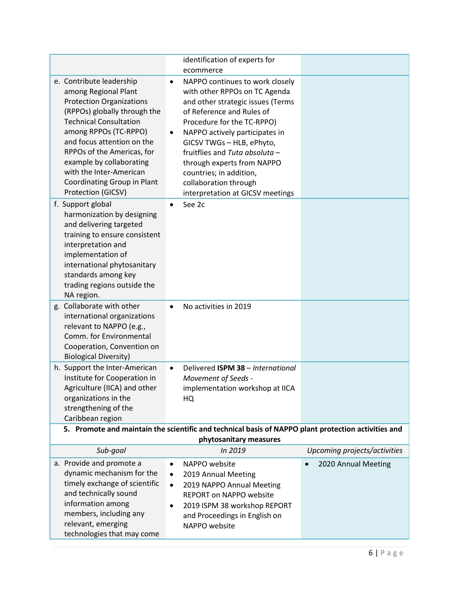|                                                                                                                                                                                                                                                                                                                                                       | identification of experts for                                                                                                                                                                                                                                                                                                                                                                        |                              |
|-------------------------------------------------------------------------------------------------------------------------------------------------------------------------------------------------------------------------------------------------------------------------------------------------------------------------------------------------------|------------------------------------------------------------------------------------------------------------------------------------------------------------------------------------------------------------------------------------------------------------------------------------------------------------------------------------------------------------------------------------------------------|------------------------------|
|                                                                                                                                                                                                                                                                                                                                                       | ecommerce                                                                                                                                                                                                                                                                                                                                                                                            |                              |
| e. Contribute leadership<br>among Regional Plant<br><b>Protection Organizations</b><br>(RPPOs) globally through the<br><b>Technical Consultation</b><br>among RPPOs (TC-RPPO)<br>and focus attention on the<br>RPPOs of the Americas, for<br>example by collaborating<br>with the Inter-American<br>Coordinating Group in Plant<br>Protection (GICSV) | NAPPO continues to work closely<br>with other RPPOs on TC Agenda<br>and other strategic issues (Terms<br>of Reference and Rules of<br>Procedure for the TC-RPPO)<br>NAPPO actively participates in<br>$\bullet$<br>GICSV TWGs - HLB, ePhyto,<br>fruitflies and Tuta absoluta -<br>through experts from NAPPO<br>countries; in addition,<br>collaboration through<br>interpretation at GICSV meetings |                              |
| f. Support global<br>harmonization by designing<br>and delivering targeted<br>training to ensure consistent<br>interpretation and<br>implementation of<br>international phytosanitary<br>standards among key<br>trading regions outside the<br>NA region.                                                                                             | See 2c<br>$\bullet$                                                                                                                                                                                                                                                                                                                                                                                  |                              |
| g. Collaborate with other<br>international organizations<br>relevant to NAPPO (e.g.,<br>Comm. for Environmental<br>Cooperation, Convention on<br><b>Biological Diversity)</b>                                                                                                                                                                         | No activities in 2019<br>$\bullet$                                                                                                                                                                                                                                                                                                                                                                   |                              |
| h. Support the Inter-American<br>Institute for Cooperation in<br>Agriculture (IICA) and other<br>organizations in the<br>strengthening of the<br>Caribbean region                                                                                                                                                                                     | Delivered ISPM 38 - International<br>$\bullet$<br>Movement of Seeds -<br>implementation workshop at IICA<br>HQ<br>5. Promote and maintain the scientific and technical basis of NAPPO plant protection activities and                                                                                                                                                                                |                              |
| phytosanitary measures                                                                                                                                                                                                                                                                                                                                |                                                                                                                                                                                                                                                                                                                                                                                                      |                              |
| Sub-goal                                                                                                                                                                                                                                                                                                                                              | In 2019                                                                                                                                                                                                                                                                                                                                                                                              | Upcoming projects/activities |
| a. Provide and promote a<br>dynamic mechanism for the<br>timely exchange of scientific<br>and technically sound<br>information among<br>members, including any<br>relevant, emerging<br>technologies that may come                                                                                                                                    | NAPPO website<br>$\bullet$<br>2019 Annual Meeting<br>2019 NAPPO Annual Meeting<br>$\bullet$<br><b>REPORT on NAPPO website</b><br>2019 ISPM 38 workshop REPORT<br>and Proceedings in English on<br>NAPPO website                                                                                                                                                                                      | 2020 Annual Meeting          |